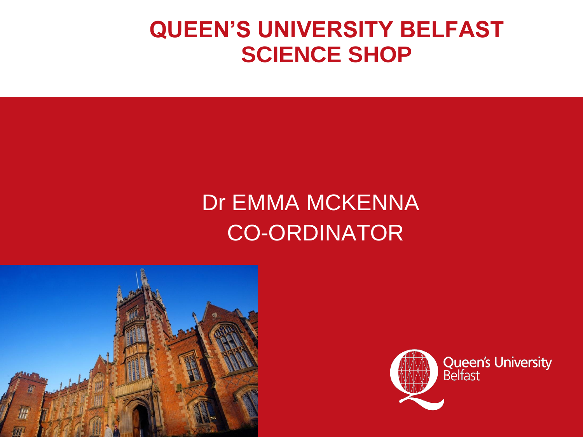#### **QUEEN'S UNIVERSITY BELFAST SCIENCE SHOP**

# Dr EMMA MCKENNA CO-ORDINATOR



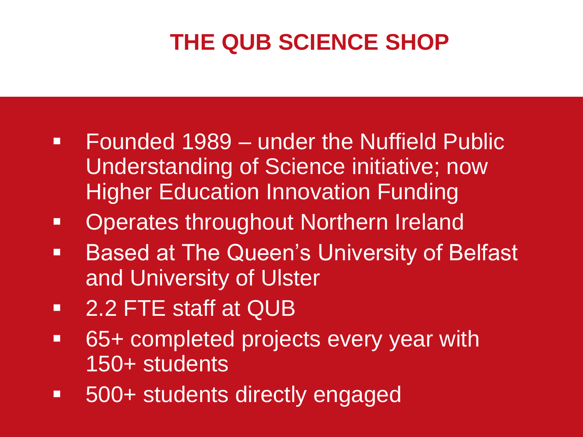## **THE QUB SCIENCE SHOP**

- **Founded 1989 under the Nuffield Public** Understanding of Science initiative; now Higher Education Innovation Funding
- **Operates throughout Northern Ireland**
- **Based at The Queen's University of Belfast** and University of Ulster
- 2.2 FTE staff at QUB
- **65+ completed projects every year with** 150+ students
- 500+ students directly engaged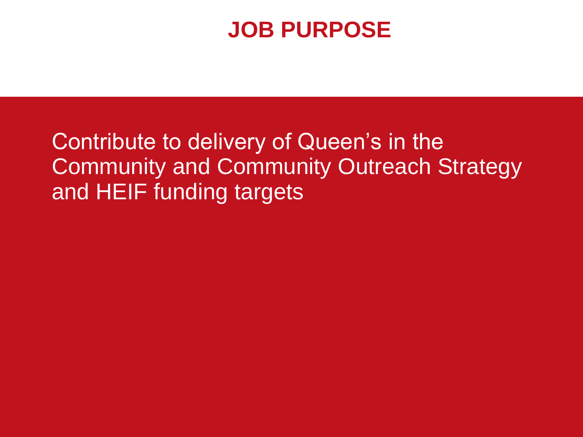### **JOB PURPOSE**

Contribute to delivery of Queen's in the Community and Community Outreach Strategy and HEIF funding targets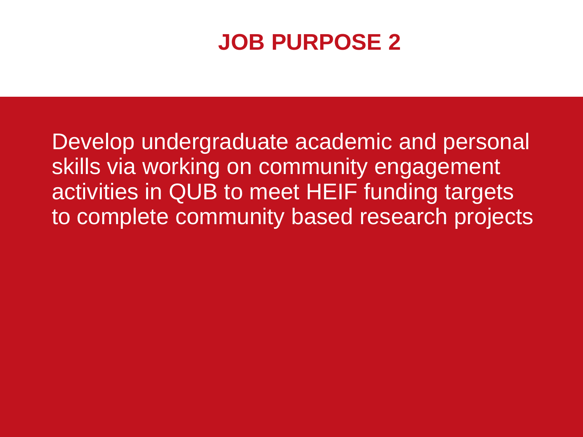### **JOB PURPOSE 2**

Develop undergraduate academic and personal skills via working on community engagement activities in QUB to meet HEIF funding targets to complete community based research projects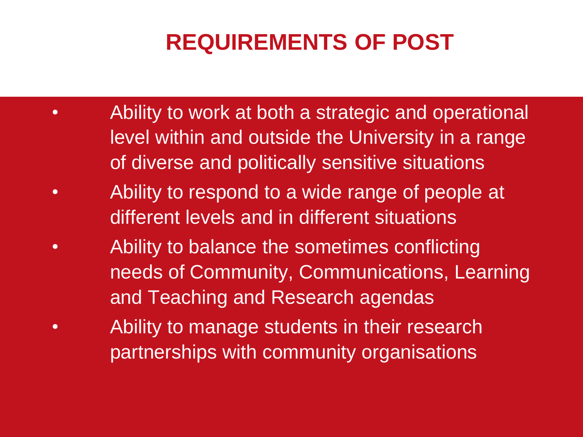## **REQUIREMENTS OF POST**

- Ability to work at both a strategic and operational level within and outside the University in a range of diverse and politically sensitive situations
- Ability to respond to a wide range of people at different levels and in different situations
- Ability to balance the sometimes conflicting needs of Community, Communications, Learning and Teaching and Research agendas
- Ability to manage students in their research partnerships with community organisations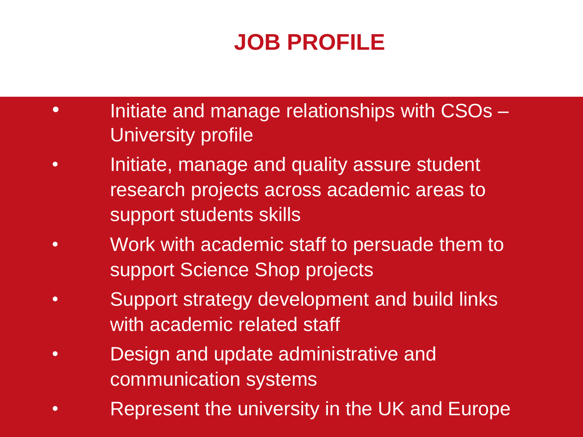## **JOB PROFILE**

- Initiate and manage relationships with CSOs University profile
- Initiate, manage and quality assure student research projects across academic areas to support students skills
- Work with academic staff to persuade them to support Science Shop projects
- Support strategy development and build links with academic related staff
- Design and update administrative and communication systems
- Represent the university in the UK and Europe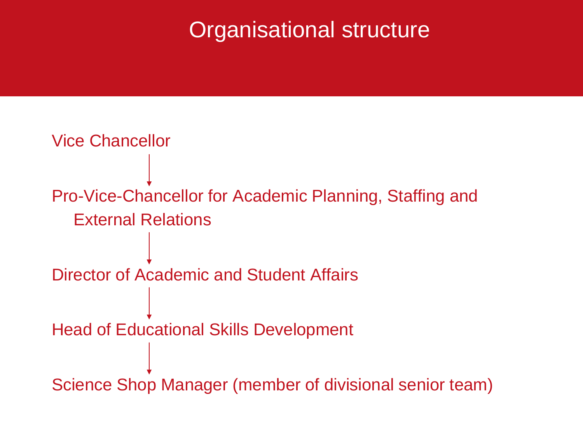#### Organisational structure

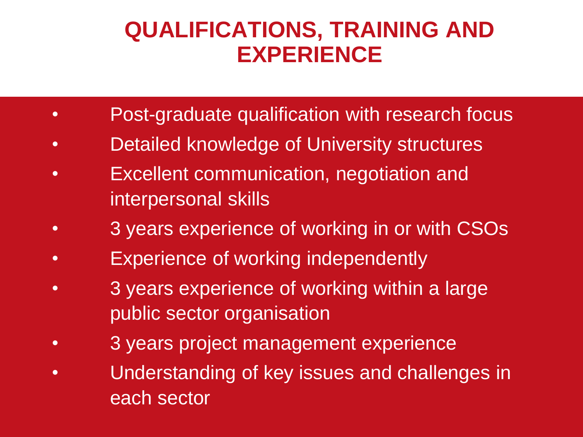#### **QUALIFICATIONS, TRAINING AND EXPERIENCE**

- **Post-graduate qualification with research focus**
- Detailed knowledge of University structures
- Excellent communication, negotiation and interpersonal skills
- 3 years experience of working in or with CSOs
- Experience of working independently
- 3 years experience of working within a large public sector organisation
- 3 years project management experience
- Understanding of key issues and challenges in each sector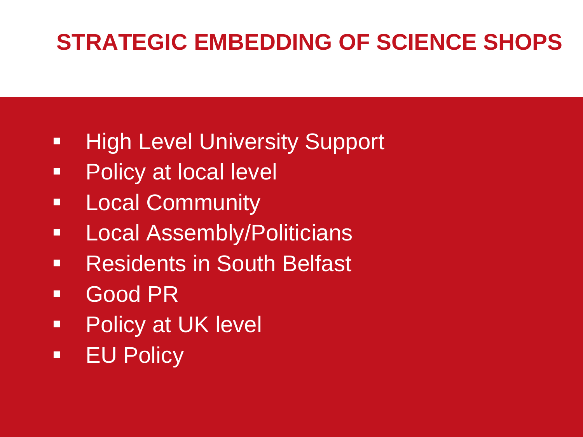### **STRATEGIC EMBEDDING OF SCIENCE SHOPS**

- **High Level University Support**
- **Policy at local level**
- **E.** Local Community
- **-** Local Assembly/Politicians
- **Residents in South Belfast**
- Good PR
- **Policy at UK level**
- **EU Policy**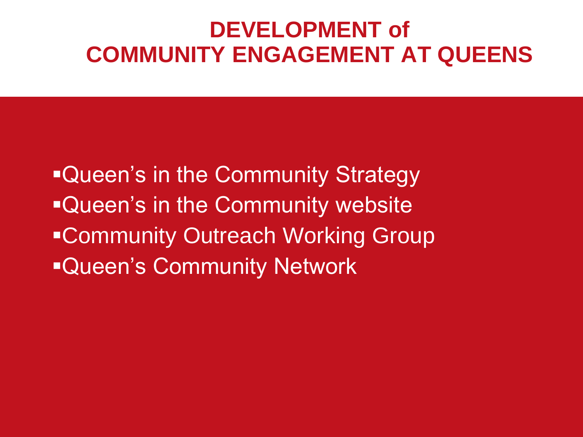#### **DEVELOPMENT of COMMUNITY ENGAGEMENT AT QUEENS**

**Queen's in the Community Strategy -Queen's in the Community website** Community Outreach Working Group **Queen's Community Network**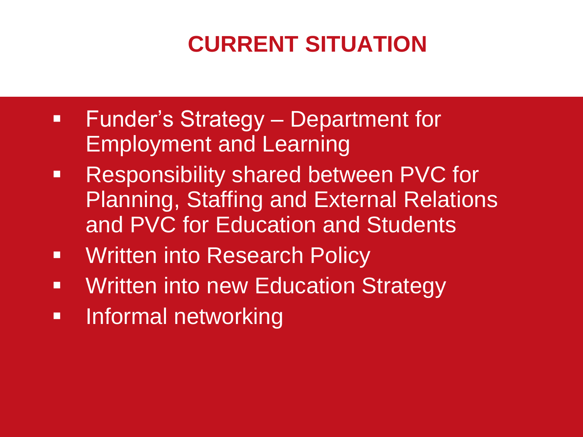# **CURRENT SITUATION**

- **Funder's Strategy Department for** Employment and Learning
- **Responsibility shared between PVC for** Planning, Staffing and External Relations and PVC for Education and Students
- **Written into Research Policy**
- **Written into new Education Strategy**
- **Informal networking**